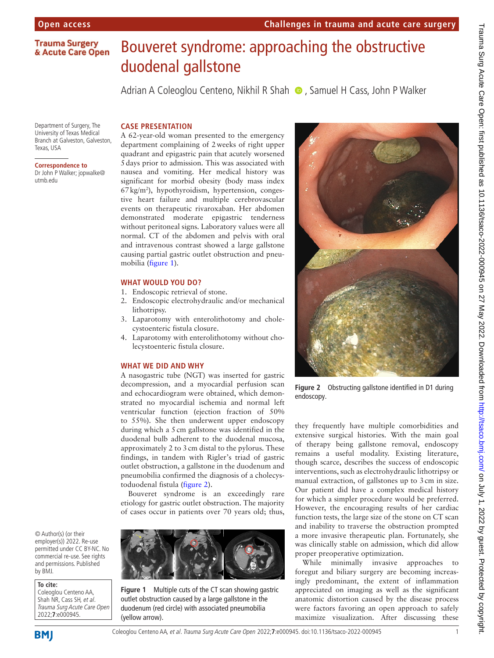**Trauma Surgery** & Acute Care Open

# Bouveret syndrome: approaching the obstructive duodenal gallstone

AdrianA Coleoglou Centeno, Nikhil R Shah  $\bullet$ , Samuel H Cass, John P Walker

Department of Surgery, The University of Texas Medical Branch at Galveston, Galveston, Texas, USA

## **Correspondence to**

Dr John P Walker; jopwalke@ utmb.edu

A 62-year-old woman presented to the emergency department complaining of 2weeks of right upper quadrant and epigastric pain that acutely worsened 5days prior to admission. This was associated with nausea and vomiting. Her medical history was significant for morbid obesity (body mass index 67kg/m2 ), hypothyroidism, hypertension, congestive heart failure and multiple cerebrovascular events on therapeutic rivaroxaban. Her abdomen demonstrated moderate epigastric tenderness without peritoneal signs. Laboratory values were all normal. CT of the abdomen and pelvis with oral and intravenous contrast showed a large gallstone causing partial gastric outlet obstruction and pneumobilia [\(figure](#page-0-0) 1).

## **WHAT WOULD YOU DO?**

**CASE PRESENTATION**

- 1. Endoscopic retrieval of stone.
- 2. Endoscopic electrohydraulic and/or mechanical lithotripsy.
- 3. Laparotomy with enterolithotomy and cholecystoenteric fistula closure.
- 4. Laparotomy with enterolithotomy without cholecystoenteric fistula closure.

### **WHAT WE DID AND WHY**

A nasogastric tube (NGT) was inserted for gastric decompression, and a myocardial perfusion scan and echocardiogram were obtained, which demonstrated no myocardial ischemia and normal left ventricular function (ejection fraction of 50% to 55%). She then underwent upper endoscopy during which a 5cm gallstone was identified in the duodenal bulb adherent to the duodenal mucosa, approximately 2 to 3cm distal to the pylorus. These findings, in tandem with Rigler's triad of gastric outlet obstruction, a gallstone in the duodenum and pneumobilia confirmed the diagnosis of a cholecystoduodenal fistula ([figure](#page-0-1) 2).

Bouveret syndrome is an exceedingly rare etiology for gastric outlet obstruction. The majority of cases occur in patients over 70 years old; thus,

<span id="page-0-0"></span>

**Figure 1** Multiple cuts of the CT scan showing gastric outlet obstruction caused by a large gallstone in the duodenum (red circle) with associated pneumobilia (yellow arrow).



**Figure 2** Obstructing gallstone identified in D1 during endoscopy.

<span id="page-0-1"></span>they frequently have multiple comorbidities and extensive surgical histories. With the main goal of therapy being gallstone removal, endoscopy remains a useful modality. Existing literature, though scarce, describes the success of endoscopic interventions, such as electrohydraulic lithotripsy or manual extraction, of gallstones up to 3cm in size. Our patient did have a complex medical history for which a simpler procedure would be preferred. However, the encouraging results of her cardiac function tests, the large size of the stone on CT scan and inability to traverse the obstruction prompted a more invasive therapeutic plan. Fortunately, she was clinically stable on admission, which did allow proper preoperative optimization.

While minimally invasive approaches to foregut and biliary surgery are becoming increasingly predominant, the extent of inflammation appreciated on imaging as well as the significant anatomic distortion caused by the disease process were factors favoring an open approach to safely maximize visualization. After discussing these

© Author(s) (or their employer(s)) 2022. Re-use permitted under CC BY-NC. No commercial re-use. See rights and permissions. Published by BMJ.

#### **To cite:**

Coleoglou Centeno AA, Shah NR, Cass SH, et al. Trauma Surg Acute Care Open 2022;**7**:e000945.

Trauma Surg Acute Care Open: first published as 10.1136/tsaco-2022-000945 on 27 May 2022. Downloaded from http://tsaco.bmj.com/ on July 1, 2022 by guest. Protected by copyright I rauma Surg Acute Care Open: first published as 10.1136/tsaco-2022-000945 on 27 May 2022. Downloaded from <http://tsaco.bmj.com/> on July 1, 2022 by guest. Protected by copyright.